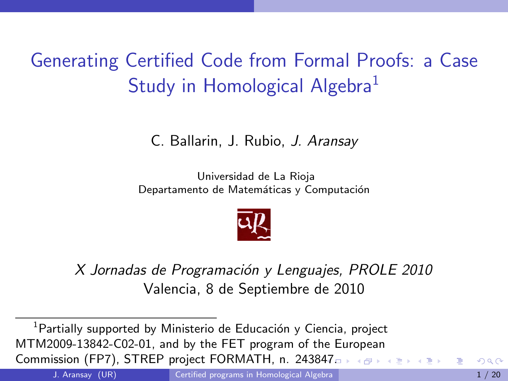# <span id="page-0-1"></span>Generating Certified Code from Formal Proofs: a Case Study in Homological Algebra $<sup>1</sup>$ </sup>

C. Ballarin, J. Rubio, J. Aransay

Universidad de La Rioja Departamento de Matemáticas y Computación

<span id="page-0-0"></span>

X Jornadas de Programación y Lenguajes, PROLE 2010 Valencia, 8 de Septiembre de 2010

 $1$ Partially supported by Ministerio de Educación y Ciencia, project MTM2009-13842-C02-01, and by the FET program of the European Commission (FP7), STREP project FORMATH, n. 2438[47.](#page-0-0)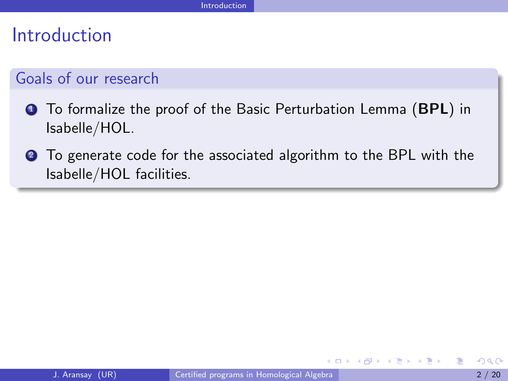# Introduction

## Goals of our research

- <span id="page-1-1"></span>**1** To formalize the proof of the Basic Perturbation Lemma (BPL) in Isabelle/HOL.
- <span id="page-1-2"></span><span id="page-1-0"></span>**2** To generate code for the associated algorithm to the BPL with the Isabelle/HOL facilities.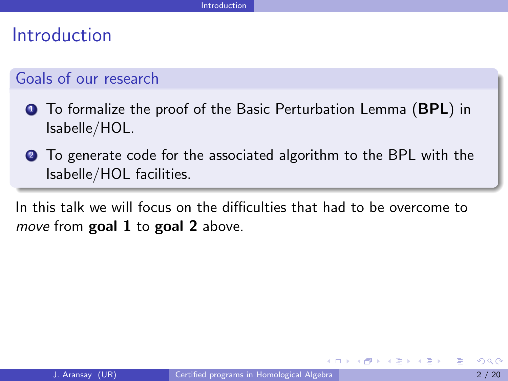# Introduction

## Goals of our research

- **1** To formalize the proof of the Basic Perturbation Lemma (BPL) in Isabelle/HOL.
- **2** To generate code for the associated algorithm to the BPL with the Isabelle/HOL facilities.

<span id="page-2-0"></span>In this talk we will focus on the difficulties that had to be overcome to move from  $\boldsymbol{\text{goal}}$  [1](#page-1-1) to  $\boldsymbol{\text{goal}}$  [2](#page-1-2) above.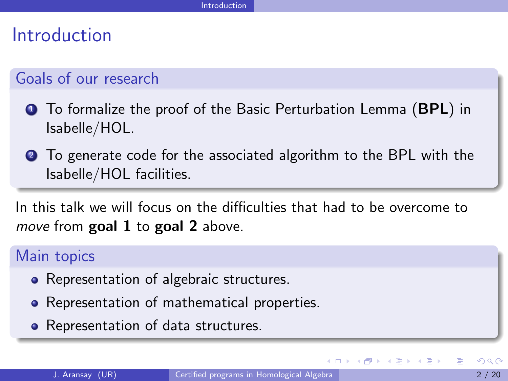# Introduction

# Goals of our research

- **1** To formalize the proof of the Basic Perturbation Lemma (BPL) in Isabelle/HOL.
- **2** To generate code for the associated algorithm to the BPL with the Isabelle/HOL facilities.

In this talk we will focus on the difficulties that had to be overcome to move from  $goal 1$  $goal 1$  to  $goal 2$  $goal 2$  above.

## Main topics

- Representation of algebraic structures.
- Representation of mathematical properties.
- <span id="page-3-0"></span>• Representation of data structures.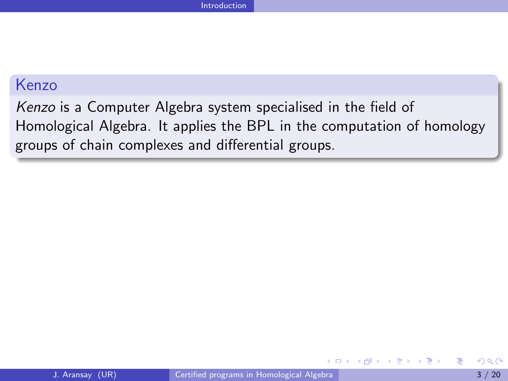## Kenzo

<span id="page-4-0"></span>Kenzo is a Computer Algebra system specialised in the field of Homological Algebra. It applies the BPL in the computation of homology groups of chain complexes and differential groups.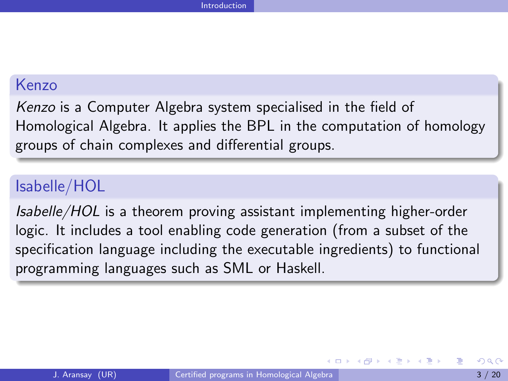### Kenzo

Kenzo is a Computer Algebra system specialised in the field of Homological Algebra. It applies the BPL in the computation of homology groups of chain complexes and differential groups.

## Isabelle/HOL

<span id="page-5-0"></span>Isabelle/HOL is a theorem proving assistant implementing higher-order logic. It includes a tool enabling code generation (from a subset of the specification language including the executable ingredients) to functional programming languages such as SML or Haskell.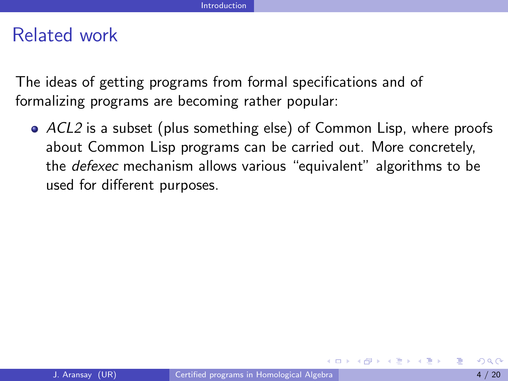The ideas of getting programs from formal specifications and of formalizing programs are becoming rather popular:

<span id="page-6-0"></span>ACL2 is a subset (plus something else) of Common Lisp, where proofs about Common Lisp programs can be carried out. More concretely, the defexec mechanism allows various "equivalent" algorithms to be used for different purposes.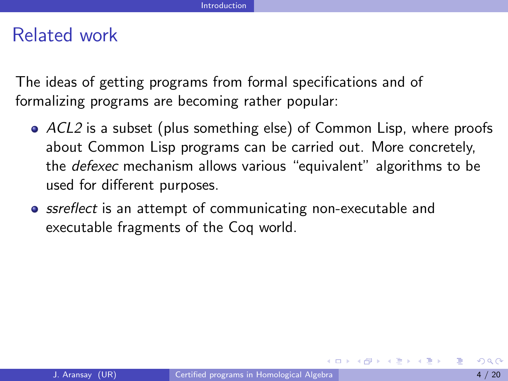The ideas of getting programs from formal specifications and of formalizing programs are becoming rather popular:

- ACL2 is a subset (plus something else) of Common Lisp, where proofs about Common Lisp programs can be carried out. More concretely, the defexec mechanism allows various "equivalent" algorithms to be used for different purposes.
- <span id="page-7-0"></span>**•** ssreflect is an attempt of communicating non-executable and executable fragments of the Coq world.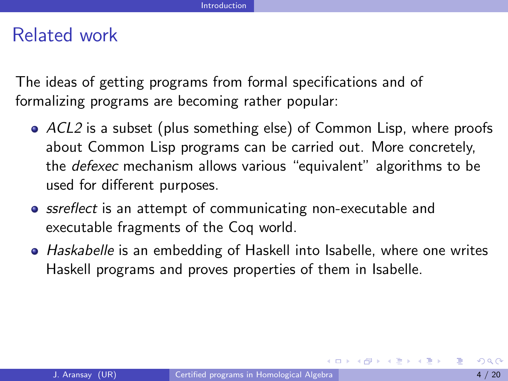The ideas of getting programs from formal specifications and of formalizing programs are becoming rather popular:

- ACL2 is a subset (plus something else) of Common Lisp, where proofs about Common Lisp programs can be carried out. More concretely, the defexec mechanism allows various "equivalent" algorithms to be used for different purposes.
- **•** ssreflect is an attempt of communicating non-executable and executable fragments of the Coq world.
- <span id="page-8-0"></span>• Haskabelle is an embedding of Haskell into Isabelle, where one writes Haskell programs and proves properties of them in Isabelle.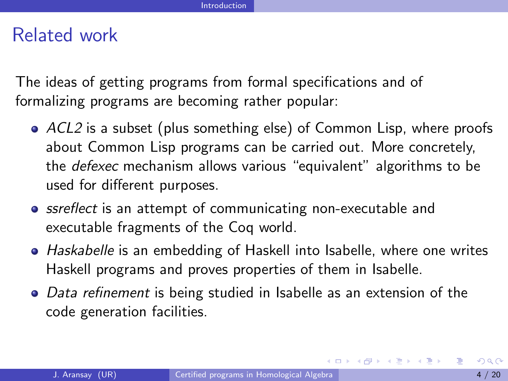The ideas of getting programs from formal specifications and of formalizing programs are becoming rather popular:

- ACL2 is a subset (plus something else) of Common Lisp, where proofs about Common Lisp programs can be carried out. More concretely, the defexec mechanism allows various "equivalent" algorithms to be used for different purposes.
- **•** ssreflect is an attempt of communicating non-executable and executable fragments of the Coq world.
- Haskabelle is an embedding of Haskell into Isabelle, where one writes Haskell programs and proves properties of them in Isabelle.
- Data refinement is being studied in Isabelle as an extension of the code generation facilities.

<span id="page-9-0"></span>イタト イヨト イヨト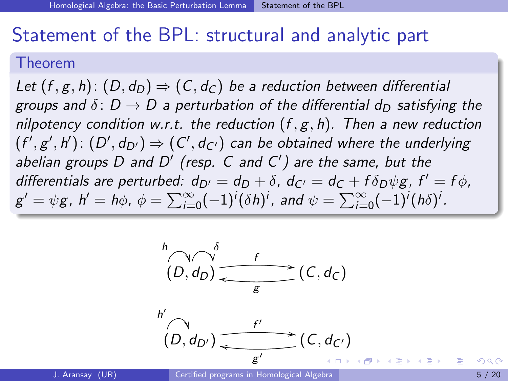# Statement of the BPL: structural and analytic part

#### Theorem

Let  $(f, g, h)$ :  $(D, d_D) \Rightarrow (C, d_C)$  be a reduction between differential groups and  $\delta: D \to D$  a perturbation of the differential d<sub>D</sub> satisfying the nilpotency condition w.r.t. the reduction  $(f, g, h)$ . Then a new reduction  $(f', g', h') \colon (D', d_{D'}) \Rightarrow (C', d_{C'})$  can be obtained where the underlying abelian groups D and D' (resp. C and C') are the same, but the differentials are perturbed:  $d_{D'} = d_D + \delta$ ,  $d_{C'} = d_C + f \delta_D \psi g$ ,  $f' = f \phi$ ,  $g' = \psi g$ ,  $h' = h\phi$ ,  $\phi = \sum_{i=0}^{\infty} (-1)^i (\delta h)^i$ , and  $\psi = \sum_{i=0}^{\infty} (-1)^i (h\delta)^i$ .





<span id="page-10-0"></span>K @ → K 경제 X 경제 제공 → 시 공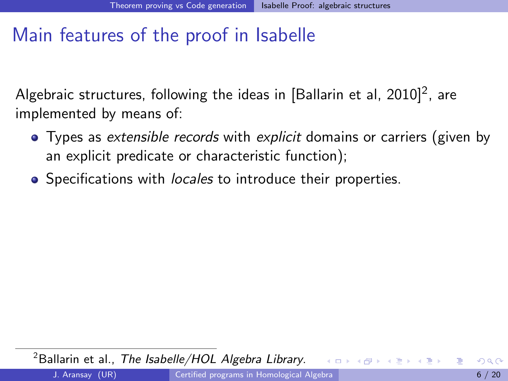# Main features of the proof in Isabelle

Algebraic structures, following the ideas in [Ballarin et al, 2010] $^2$ , are implemented by means of:

- Types as extensible records with explicit domains or carriers (given by an explicit predicate or characteristic function);
- Specifications with *locales* to introduce their properties.

<span id="page-11-0"></span> $2B$ allarin et al., [The Isabelle/HOL Algebra Library](#page-0-1).  $200$ J. Aransay (UR) [Certified programs in Homological Algebra](#page-0-0) 6 / 20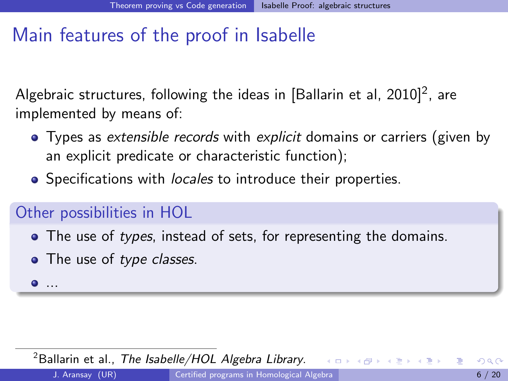# Main features of the proof in Isabelle

Algebraic structures, following the ideas in [Ballarin et al, 2010] $^2$ , are implemented by means of:

- Types as extensible records with explicit domains or carriers (given by an explicit predicate or characteristic function);
- Specifications with *locales* to introduce their properties.

# Other possibilities in HOL

- The use of types, instead of sets, for representing the domains.
- The use of type classes.
- $\bullet$  ...

<span id="page-12-0"></span> $2B$ allarin et al., [The Isabelle/HOL Algebra Library](#page-0-1). イロト イ団ト イミト イ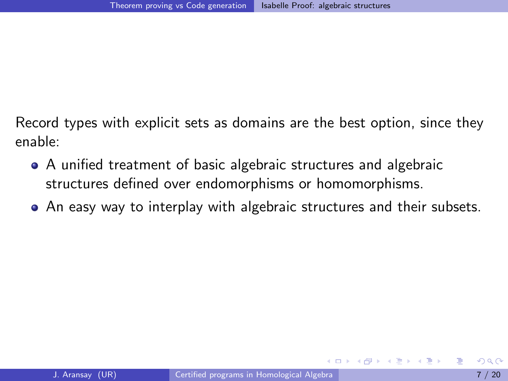Record types with explicit sets as domains are the best option, since they enable:

- A unified treatment of basic algebraic structures and algebraic structures defined over endomorphisms or homomorphisms.
- <span id="page-13-0"></span>An easy way to interplay with algebraic structures and their subsets.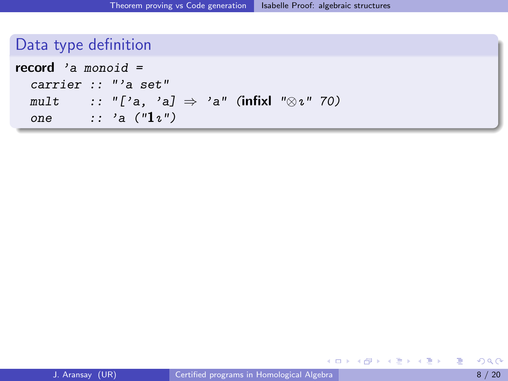|  |  |  |  | Data type definition |
|--|--|--|--|----------------------|
|  |  |  |  |                      |
|  |  |  |  |                      |
|  |  |  |  |                      |
|  |  |  |  |                      |

| <b>record</b> 'a monoid = |  |                                                                                                                                                                |  |  |  |  |  |  |  |  |
|---------------------------|--|----------------------------------------------------------------------------------------------------------------------------------------------------------------|--|--|--|--|--|--|--|--|
| carrier :: "'a set"       |  |                                                                                                                                                                |  |  |  |  |  |  |  |  |
| mult                      |  | $\;\; \; \; \; \vdots \; \; \text{``['}a, \; \; \text{'a]} \; \Rightarrow \; \text{'a''} \; \; \text{(infixl} \; \; \text{``}\otimes \imath \; \text{`` } 70)$ |  |  |  |  |  |  |  |  |
| one                       |  | $\cdots$ 'a ("1z")                                                                                                                                             |  |  |  |  |  |  |  |  |

<span id="page-14-0"></span>重

イロト 不優 ト 不意 ト 不意 トー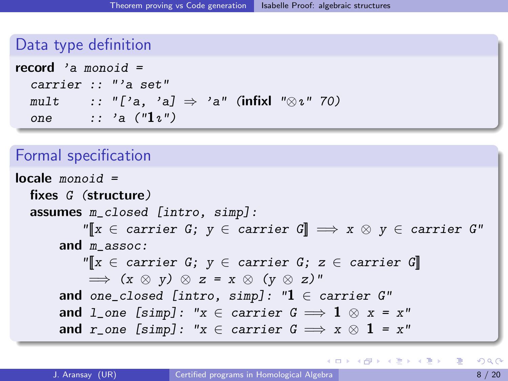Data type definition

| <b>record</b> 'a monoid = |  |                                                                 |  |  |  |  |  |  |  |  |
|---------------------------|--|-----------------------------------------------------------------|--|--|--|--|--|--|--|--|
|                           |  | carrier :: "'a set"                                             |  |  |  |  |  |  |  |  |
| mult                      |  | $\cdots$ "['a, 'a] $\Rightarrow$ 'a" (infixl " $\otimes$ ι" 70) |  |  |  |  |  |  |  |  |
| one                       |  | $\therefore$ 'a ("1z")                                          |  |  |  |  |  |  |  |  |

### Formal specification

```
locale monoid =fixes G (structure)
  assumes m_closed [intro, simp]:
             \mathbb{Y}[x \in \text{carrier } G; y \in \text{carrier } G] \implies x \otimes y \in \text{carrier } G'and m assoc:
             \mathbb{Y}[\![x\in \text{ carrier } G;\; y\in \text{ carrier } G;\; z\in \text{ carrier } G]\!]\implies (x \otimes y) \otimes z = x \otimes (y \otimes z)"
        and one_closed [intro, simp]: "1 \in carrier G"
        and l_one [simp]: "x \in carrier \ G \Longrightarrow 1 \otimes x = x"
        and r_one [simp]: "x \in carrier G \implies x \otimes 1 = x"
```
<span id="page-15-0"></span>イロト イ何 トイヨト イヨト ニヨー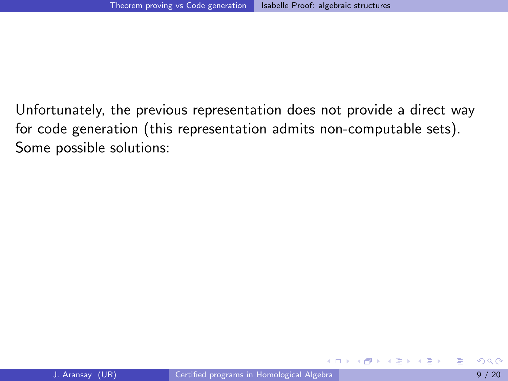Unfortunately, the previous representation does not provide a direct way for code generation (this representation admits non-computable sets). Some possible solutions:

4 D F

<span id="page-16-0"></span>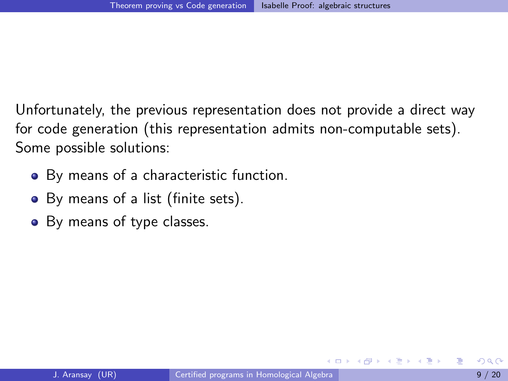Unfortunately, the previous representation does not provide a direct way for code generation (this representation admits non-computable sets). Some possible solutions:

- By means of a characteristic function.
- By means of a list (finite sets).
- <span id="page-17-0"></span>• By means of type classes.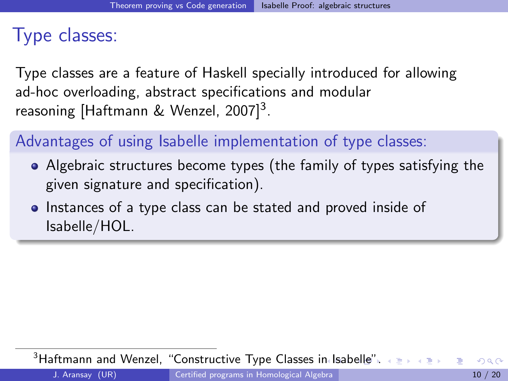# Type classes:

Type classes are a feature of Haskell specially introduced for allowing ad-hoc overloading, abstract specifications and modular reasoning [Haftmann & Wenzel, 2007]<sup>3</sup>.

## Advantages of using Isabelle implementation of type classes:

- Algebraic structures become types (the family of types satisfying the given signature and specification).
- Instances of a type class can be stated and proved inside of Isabelle/HOL.

<span id="page-18-0"></span><sup>3</sup>Haftmann and Wenzel, ["Constructive Type Classes in Isabelle"](#page-0-1)[.](#page-20-0)  $\longleftrightarrow$  $200$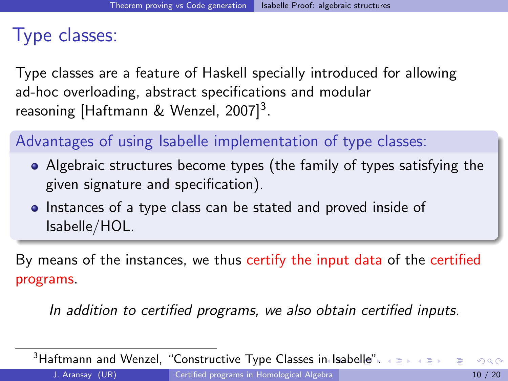# Type classes:

Type classes are a feature of Haskell specially introduced for allowing ad-hoc overloading, abstract specifications and modular reasoning [Haftmann & Wenzel, 2007]<sup>3</sup>.

# Advantages of using Isabelle implementation of type classes:

- Algebraic structures become types (the family of types satisfying the given signature and specification).
- Instances of a type class can be stated and proved inside of Isabelle/HOL.

By means of the instances, we thus certify the input data of the certified programs.

<span id="page-19-0"></span>In addition to certified programs, we also obtain certified inputs.

 $3$ Haftmann and Wenzel, ["Constructive Type Classes in Isabelle"](#page-0-1)[.](#page-20-0)  $\longleftrightarrow$  $\Omega$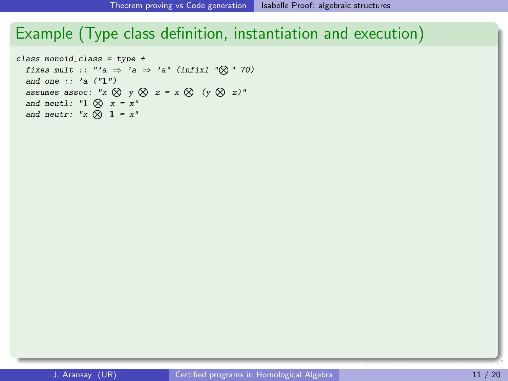# Example (Type class definition, instantiation and execution)

```
class monoid_class = type +
  fixes mult :: "'a \Rightarrow 'a \Rightarrow 'a" (infixl "\otimes" 70)
  and one :: 'a ('1'')assumes assoc: "x \otimes y \otimes z = x \otimes (y \otimes z)"
  and neutl: "1 \otimes x = x"
  and neutr: "x \otimes 1 = x"
```
<span id="page-20-0"></span> $\overline{\phantom{a}}$  codes one times  $\overline{\phantom{a}}$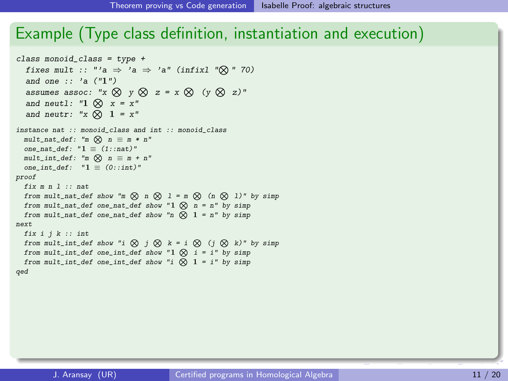# Example (Type class definition, instantiation and execution)

```
class monoid_class = type +
fixes mult :: "'a \Rightarrow 'a \Rightarrow 'a" (infixl "\otimes" 70)
  and one :: 'a (\text{m})<br>and one :: 'a (\text{m})assumes assoc: "x \otimes y \otimes z = x \otimes (y \otimes z)"
  and neutl: "1 \otimes x = x"
  and neutr: "x \otimes 1 = x"
\texttt{mult\_nat\_def:} "m \bigotimes n \equiv m * n"
  one_nat_def: "\frac{1}{n} \equiv (1::nat)"
  \texttt{mult\_int\_def:} "\texttt{m} \otimes \texttt{n} \equiv \texttt{m} + \texttt{n}''one_int_def: "1 \equiv (0::int)"fix m n l :: nat
from mult_nat_def show "m \otimes n \otimes 1 = m \otimes (n \otimes 1)" by simp
  from mult\_nat\_def one_nat_def show "1 \otimes n = n" by simp
  from mult_nat_def one_nat_def show "n \otimes 1 = n" by simp
  from multiple one natural multiple show 1 natural multiple show 1 natural multiple show 1from mult_nat_def one_nat_def show "n N 1 = n" by simp
from mult_int_def show "i N j N k=i N (j N k)" by simp
from mult_int_def one_int_def show "1 \otimes i \otimes i = i" by simp
  from mult_int_def one_int_def show "i \bigotimes 1 = i" by simp
  from multipliers \mathbf{d}instance nat :: monoid class and int :: monoid class
proof
next
 fix i i k : intqed
```
<span id="page-21-0"></span> $\overline{\phantom{a}}$  codes one times  $\overline{\phantom{a}}$ 

 $\overline{a}$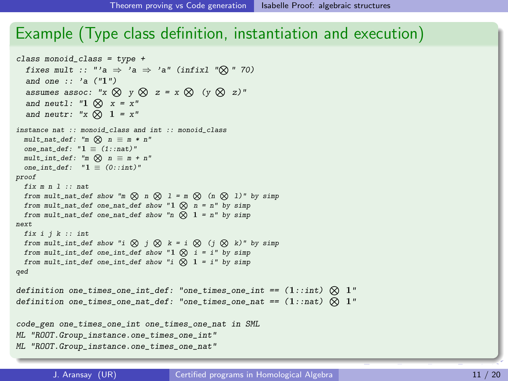#### Example (Type class definition, instantiation and execution) Example (Type class definition, inst

```
class monoid_class = type +
fixes mult :: "'a \Rightarrow 'a \Rightarrow 'a" (infixl "\otimes" 70)
  and one :: 'a \rightarrow a \rightarrow a' (infinite and one :: 'a ("1")assumes assoc: "x \otimes y \otimes z = x \otimes (y \otimes z)"
and neutl: "1 \otimes x = x"
  and neutr: "x \otimes 1 = x"
mult\_nat\_def: "m \bigotimes n \equiv m * n"one_nat_def: "1 \equiv (1::nat)"mult\_int\_def: "m \bigotimes n \equiv m + n"one\_int\_def: "1 \equiv (0:iint)"fix m n l :: nat
from mult_nat_def show "m \otimes n \otimes l = m \otimes (n \otimes l)" by simp
  from mult_nat_def one_nat_def show "1 \otimes n = n" by simp
from mult_nat_def one_nat_def show "n \overline{\otimes} 1 = n" by simp
   from multiple one natural multiple show 1 natural multiple show 1 natural multiple show 1fix i j k :: int<br>from mult_int_def show "i \bigotimes j \bigotimes k = i \bigotimes (j \bigotimes k)" by simp
from mult_int_def one_int_def show "1 \otimes i \otimes i = i" by simp
  from mult_int_def one_int_def show \mathbf{r} \otimes \mathbf{1} = \mathbf{i}' by simp<br>from mult_int_def one_int_def show "i \otimes \mathbf{1} = \mathbf{i}'' by simp
   from multipliers \mathbf{d}definition one_times_one_int_def: "one_times_one_int == (1::int) \bigotimes 1"
definition\ one\_times\_one\_nat\_def: \ "one\_times\_one\_nat = (1::nat) \bigotimes 1"code_gen one_times_one_int one_times_one_nat in SML
definition one_times_one_nat_def: "one_times_one_nat == (1::nat) N 1"
ML "ROOT.Group_instance.one_times_one_int"
ML "ROOT.Group_instance.one_times_one_nat"
ML "ROOT.Group_instance.one_times_one_int"
instance nat :: monoid_class and int :: monoid_class
proof
next
 fix i i k : intqed
qed
\overline{a}from multipliers \alpha multipliers in \alpha in N left show \alpha in N left show \alpha in N \alpha left show \alpha in \alpha in \alpha in \alpha in \alpha in \alpha in \alpha in \alpha in \alpha in \alpha in \alpha in \alpha in \alpha in \alpha in \alpha in
   \mathbf{x} is interesting to \mathbf{x} interesting to \mathbf{x}ML "ROOT. Group_instance.one_times_one_nat"
```
<span id="page-22-0"></span>end

 $\overline{\phantom{a}}$  codes one times  $\overline{\phantom{a}}$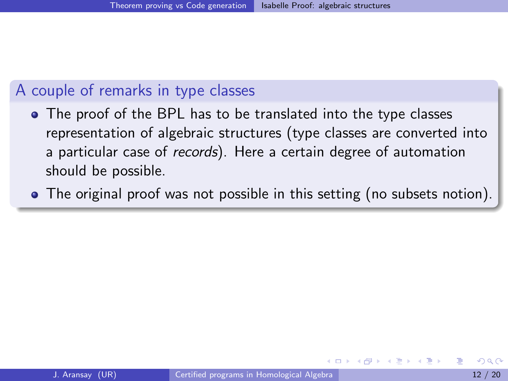## A couple of remarks in type classes

- The proof of the BPL has to be translated into the type classes representation of algebraic structures (type classes are converted into a particular case of records). Here a certain degree of automation should be possible.
- <span id="page-23-0"></span>The original proof was not possible in this setting (no subsets notion).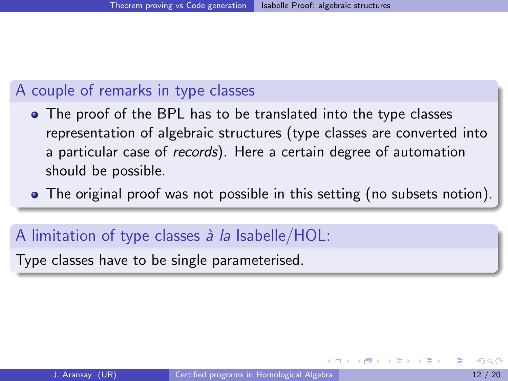## A couple of remarks in type classes

- The proof of the BPL has to be translated into the type classes representation of algebraic structures (type classes are converted into a particular case of records). Here a certain degree of automation should be possible.
- The original proof was not possible in this setting (no subsets notion).

### A limitation of type classes  $\lambda$  la Isabelle/HOL:

<span id="page-24-0"></span>Type classes have to be single parameterised.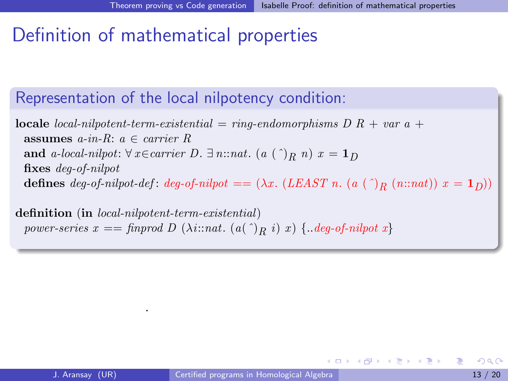# Definition of mathematical properties

## Representation of the local nilpotency condition:

**locale** local-nilpotent-term-existential = ring-endomorphisms  $D R + var a +$ assumes  $a$ -in-R:  $a \in carrier R$ and a-local-nilpot:  $\forall x \in carrier \ D$ .  $\exists n::nat.$  (a  $(\uparrow)_R n$ )  $x = 1_D$ fixes deg-of-nilpot defines  $deg-of-nilpot-def: deg-of-nilpot = (\lambda x. (LEAST n. (a (^))R (n::nat)) x = 1_D))$ 

definition (in local-nilpotent-term-existential) power-series  $x = \text{finvod } D \ (\text{Ai}: \text{nat.} \ (a^{\wedge})_{R} \ i) \ x) \ \{ \text{.} \text{deg-of-nilpot } x \}$ 

.

<span id="page-25-0"></span>イロト イ押ト イヨト イヨト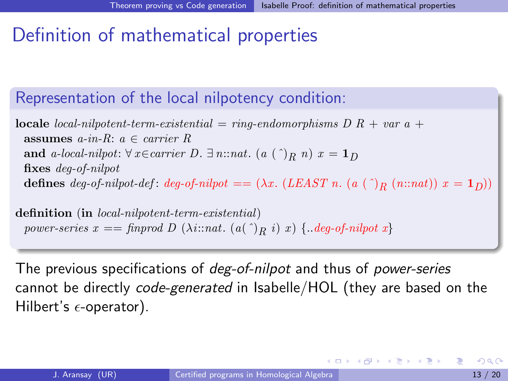# Definition of mathematical properties

## Representation of the local nilpotency condition:

**locale** local-nilpotent-term-existential = ring-endomorphisms  $D R + var a +$ assumes  $a$ -in-R:  $a \in carrier R$ and a-local-nilpot:  $\forall x \in carrier \ D$ .  $\exists n::nat.$  (a  $(\uparrow)_R n$ )  $x = 1_D$ fixes deg-of-nilpot defines  $deg-of-nilpot-def: deg-of-nilpot = (\lambda x. (LEAST n. (a (^))R (n::nat)) x = 1_D))$ 

definition (in local-nilpotent-term-existential) power-series  $x = \text{finvod } D \ (\lambda \text{i}: \text{nat.} \ (a \cap B \ i) \ x) \ \{ \text{.} \text{deg-of-nilpot } x \}$ 

The previous specifications of *deg-of-nilpot* and thus of *power-series* cannot be directly code-generated in Isabelle/HOL (they are based on the Hilbert's  $\epsilon$ -operator).

<span id="page-26-0"></span>K ロ ▶ K 倒 ▶ K 듣 ▶ K 듣 ▶ ...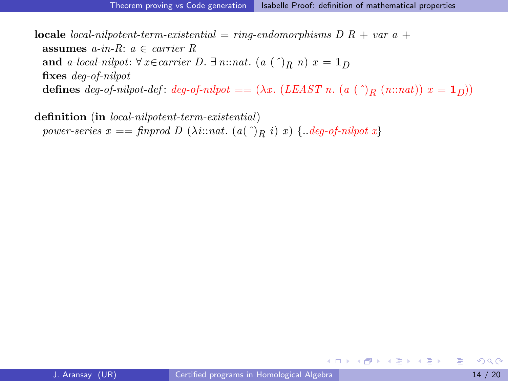**locale** local-nilpotent-term-existential = ring-endomorphisms  $D R + var a +$ assumes  $a$ -in-R:  $a \in carrier R$ and a-local-nilpot:  $\forall x \in carrier \ D$ .  $\exists n : nat.$  (a  $(\cap)_R n$ )  $x = 1_D$ fixes deg-of-nilpot defines deg-of-nilpot-def: deg-of-nilpot ==  $(\lambda x. (LEAST n. (a (^))R (n::nat)) x = 1_D))$ 

definition (in local-nilpotent-term-existential) power-series  $x == \text{finvod } D \ (\lambda i : \text{nat.} \ (a(\hat{\ })_R \ i) \ x) \ \{..\text{deg-of-nilpot } x \}$ 

<span id="page-27-0"></span>K ロ ▶ K 個 ▶ K 로 ▶ K 로 ▶ - 로 - K 9 Q @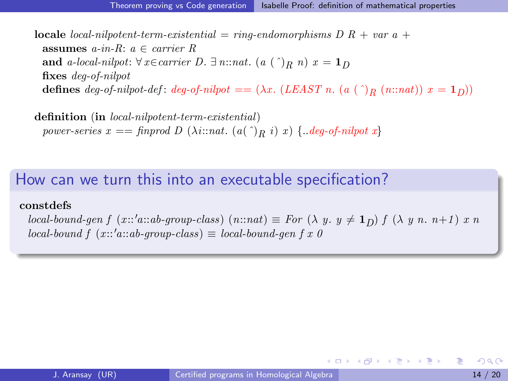**locale** *local-nilpotent-term-existential* =  $\text{r}$ *ing-endomorphisms*  $D R + \text{var } a +$ assumes  $a$ -in-R:  $a \in carrier R$ and a-local-nilpot:  $\forall x \in carrier \ D. \ \exists n::nat.$  (a  $(\hat{a})_R n$ )  $x = 1_D$ fixes deg-of-nilpot defines deg-of-nilpot-def: deg-of-nilpot ==  $(\lambda x. (LEAST n. (a (^))_R (n::nat)) x = 1_D))$ 

definition (in local-nilpotent-term-existential) power-series  $x = \text{finvod } D \ (\lambda i : \text{nat.} \ (a^{\wedge})_{R} i) \ x) \ \{ \text{.} \text{deg-of-nilpot } x \}$ 

#### How can we turn this into an executable specification?

#### constdefs

local-bound-gen f (x::'a::ab-group-class)  $(n:nat) \equiv For (\lambda y. y \neq 1_D)$  f  $(\lambda y n. n+1)$  x n  $local-bound f (x::'a::ab-group-class) \equiv local-bound-qen f x 0$ 

<span id="page-28-0"></span> $\equiv$ 

イロメ イ部メ イ君メ イ君メート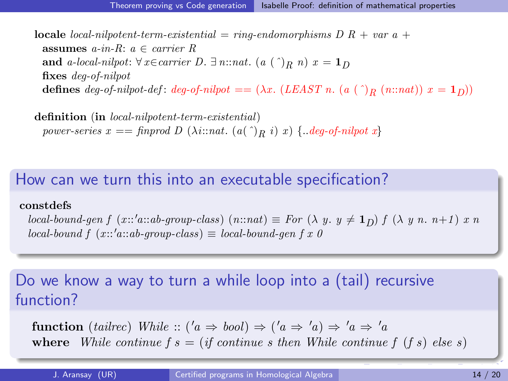**locale** *local-nilpotent-term-existential* =  $\text{r}$ *ing-endomorphisms*  $D R + \text{var } a +$ assumes  $a$ -in-R:  $a \in carrier R$ and a-local-nilpot:  $\forall x \in carrier \ D. \ \exists n::nat.$  (a  $(\hat{a})_R n$ )  $x = 1_D$ fixes deg-of-nilpot defines deg-of-nilpot-def: deg-of-nilpot ==  $(\lambda x. (LEAST n. (a (^))_R (n::nat)) x = 1_D))$ 

definition (in local-nilpotent-term-existential) power-series  $x = \text{finvod } D \ (\lambda i : \text{nat.} \ (a^{\wedge})_{R} i) \ x) \ \{ \text{.} \text{deg-of-nilpot } x \}$ 

#### How can we turn this into an executable specification?

#### constdefs

local-bound-gen f (x::'a::ab-group-class)  $(n:nat) \equiv For (\lambda y. y \neq 1_D)$  f  $(\lambda y n. n+1)$  x n  $local-bound f (x::'a::ab-group-class) \equiv local-bound-qen f x 0$ 

Do we know a way to turn a while loop into a (tail) recursive function?

<span id="page-29-0"></span>function (tailrec) While  $:: ('a \Rightarrow bool) \Rightarrow ('a \Rightarrow 'a) \Rightarrow 'a \Rightarrow 'a$ where While continue  $f(s) = (if continue s then While continue f (fs) else s)$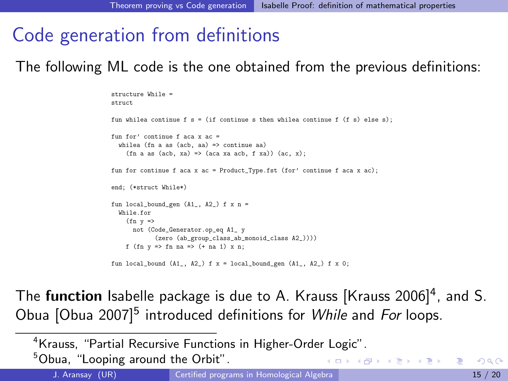# Code generation from definitions

The following ML code is the one obtained from the previous definitions:

```
structure While =
struct
fun whilea continue f = (if continue s then while a continue f (f s) else s);fun for' continue f aca x ac =
  whilea (fn a as (acb, aa) \Rightarrow continue aa)
    (fn a as (acb, xa) \Rightarrow (aca xa acb, f xa)) (ac, x);
fun for continue f aca x ac = Product_Type.fst (for' continue f aca x ac);
end; (*struct While*)
fun local_bound_gen (A1_, A2_) f x n =
  While.for
    (fn v \Rightarrownot (Code_Generator.op_eq A1_ y
             (zero (ab group class ab monoid class A2 ))))
    f (fn y \Rightarrow fn na => (+ na 1) x n;
fun local_bound (A1_-, A2_-) f x = local_bound_gen (A1_-, A2_-) f x 0;
```
The **function** Isabelle package is due to A. Krauss [Krauss 2006]<sup>4</sup>, and S. Obua [Obua 2007]<sup>5</sup> introduced definitions for While and For loops.

<sup>4</sup>Krauss, ["Partial Recursive Functions in Higher-Order Logic".](#page-0-1)

<sup>5</sup>Obua, ["Looping around the Orbit".](#page-0-1)

<span id="page-30-0"></span>イロト イ押ト イヨト イヨト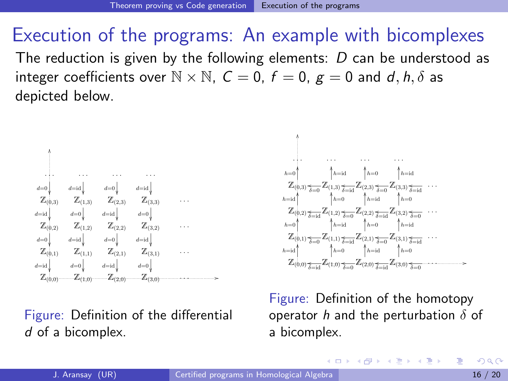# Execution of the programs: An example with bicomplexes

The reduction is given by the following elements:  $D$  can be understood as integer coefficients over  $\mathbb{N} \times \mathbb{N}$ ,  $C = 0$ ,  $f = 0$ ,  $g = 0$  and d, h,  $\delta$  as depicted below.

Z(0,0) Z(1,0) Z(2,0) Z(3,0) . . . Z(0,1) Z(1,1) Z(2,1) Z(3,1) . . . Z(0,2) Z(1,2) Z(2,2) Z(3,2) . . . Z(0,3) Z(1,3) Z(2,3) Z(3,3) . . . . . . . . . . . . . . . OO d=id d=0 d=id d=0 d=0 d=id d=0 d=id d=id d=0 d=id d=0 d=0 d=id d=0 d=id

Figure: Definition of the differential d of a bicomplex.



Figure: Definition of the homotopy operator h and the perturbation  $\delta$  of a bicomplex.

<span id="page-31-0"></span>(ロ) (御) (唐) (唐) (唐)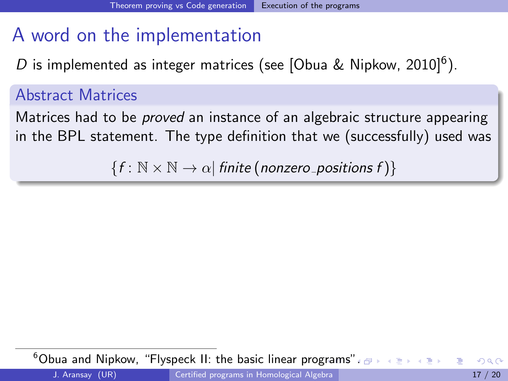# A word on the implementation

D is implemented as integer matrices (see [Obua & Nipkow, 2010]<sup>6</sup>).

## Abstract Matrices

Matrices had to be *proved* an instance of an algebraic structure appearing in the BPL statement. The type definition that we (successfully) used was

<span id="page-32-0"></span> ${f : \mathbb{N} \times \mathbb{N} \rightarrow \alpha}$  finite (nonzero\_positions f) {

<sup>6</sup>Obua and Nipkow, ["Flyspeck II: the basic linear programs"](#page-0-1)[.](#page-31-0)  $\sigma$  $200$ J. Aransay (UR) [Certified programs in Homological Algebra](#page-0-0) 17 / 20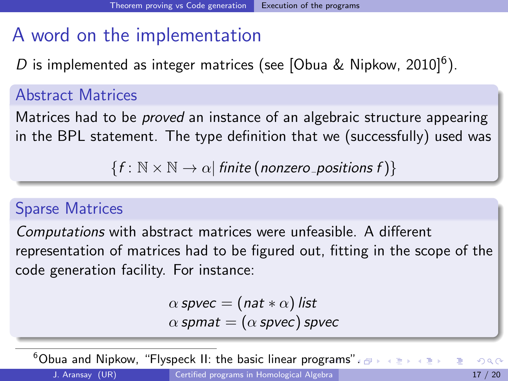# A word on the implementation

D is implemented as integer matrices (see [Obua & Nipkow, 2010]<sup>6</sup>).

## Abstract Matrices

Matrices had to be *proved* an instance of an algebraic structure appearing in the BPL statement. The type definition that we (successfully) used was

 ${f : \mathbb{N} \times \mathbb{N} \rightarrow \alpha}$  finite (nonzero\_positions f) {

## Sparse Matrices

Computations with abstract matrices were unfeasible. A different representation of matrices had to be figured out, fitting in the scope of the code generation facility. For instance:

<span id="page-33-0"></span>
$$
\alpha \text{ space} = (\text{nat} * \alpha) \text{ list}
$$
  

$$
\alpha \text{ spanat} = (\alpha \text{ space}) \text{ space}
$$

 $6$ Obua and Nipkow, ["Flyspeck II: the basic linear programs"](#page-0-1)[.](#page-31-0)  $\sigma \mapsto \sigma \equiv \sigma$  $\Omega$ J. Aransay (UR) [Certified programs in Homological Algebra](#page-0-0) 17 / 20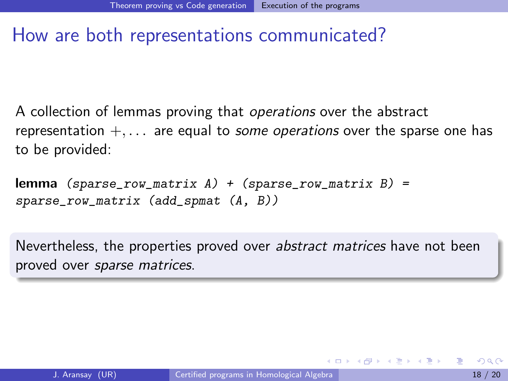# How are both representations communicated?

A collection of lemmas proving that operations over the abstract representation  $+, \ldots$  are equal to *some operations* over the sparse one has to be provided:

```
lemma (sparse_{row\_matrix} A) + (sparse_{row\_matrix} B) =sparse_row_matrix (add_spmat (A, B))
```
<span id="page-34-0"></span>Nevertheless, the properties proved over abstract matrices have not been proved over sparse matrices.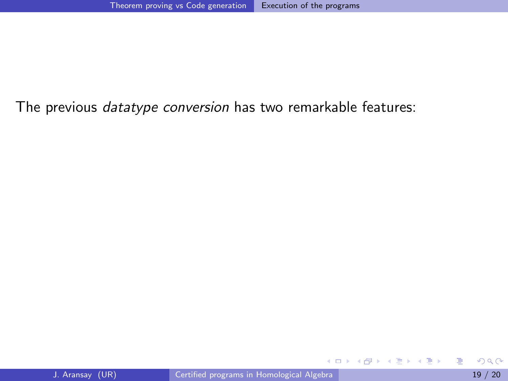## The previous *datatype conversion* has two remarkable features:

<span id="page-35-0"></span>目

イロト イ押ト イヨト イヨト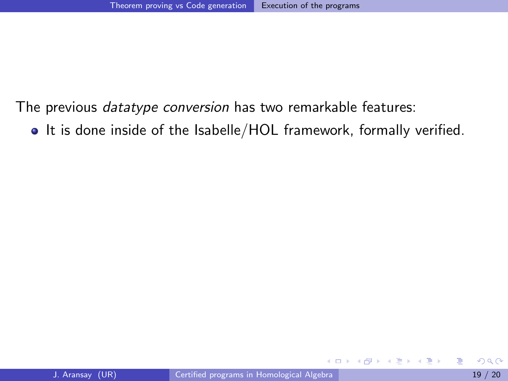The previous datatype conversion has two remarkable features:

• It is done inside of the Isabelle/HOL framework, formally verified.

4 D F

 $\sim$ 

<span id="page-36-0"></span>ミメスミメ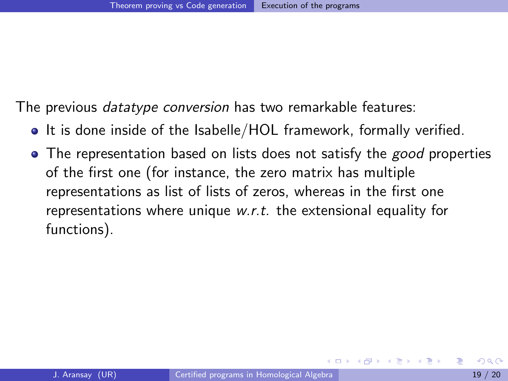The previous *datatype conversion* has two remarkable features:

- It is done inside of the Isabelle/HOL framework, formally verified.
- <span id="page-37-0"></span>• The representation based on lists does not satisfy the good properties of the first one (for instance, the zero matrix has multiple representations as list of lists of zeros, whereas in the first one representations where unique w.r.t. the extensional equality for functions).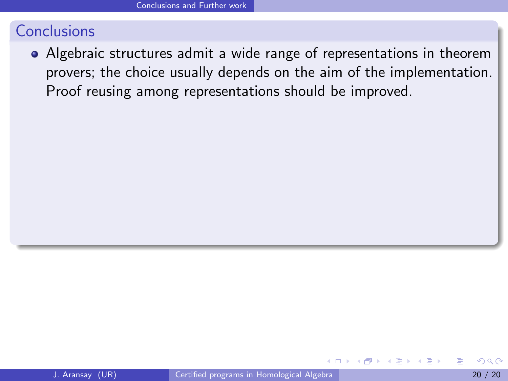<span id="page-38-0"></span>Algebraic structures admit a wide range of representations in theorem provers; the choice usually depends on the aim of the implementation. Proof reusing among representations should be improved.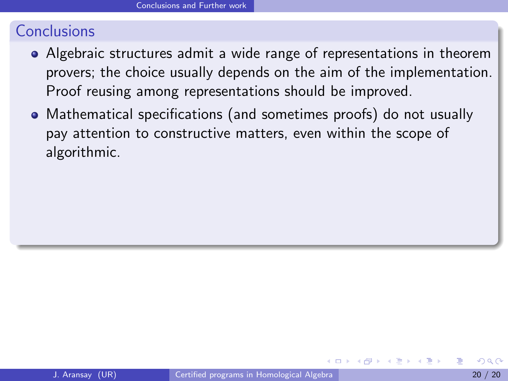- Algebraic structures admit a wide range of representations in theorem provers; the choice usually depends on the aim of the implementation. Proof reusing among representations should be improved.
- <span id="page-39-0"></span>Mathematical specifications (and sometimes proofs) do not usually pay attention to constructive matters, even within the scope of algorithmic.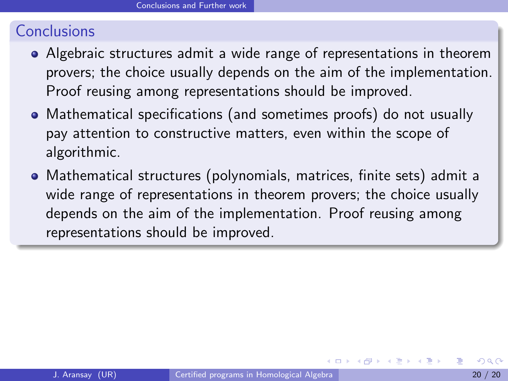- Algebraic structures admit a wide range of representations in theorem provers; the choice usually depends on the aim of the implementation. Proof reusing among representations should be improved.
- Mathematical specifications (and sometimes proofs) do not usually pay attention to constructive matters, even within the scope of algorithmic.
- <span id="page-40-0"></span>Mathematical structures (polynomials, matrices, finite sets) admit a wide range of representations in theorem provers; the choice usually depends on the aim of the implementation. Proof reusing among representations should be improved.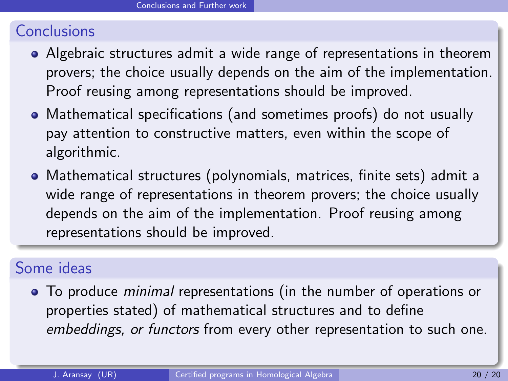- Algebraic structures admit a wide range of representations in theorem provers; the choice usually depends on the aim of the implementation. Proof reusing among representations should be improved.
- Mathematical specifications (and sometimes proofs) do not usually pay attention to constructive matters, even within the scope of algorithmic.
- Mathematical structures (polynomials, matrices, finite sets) admit a wide range of representations in theorem provers; the choice usually depends on the aim of the implementation. Proof reusing among representations should be improved.

## Some ideas

<span id="page-41-0"></span>• To produce *minimal* representations (in the number of operations or properties stated) of mathematical structures and to define embeddings, or functors from every other representation to such one.